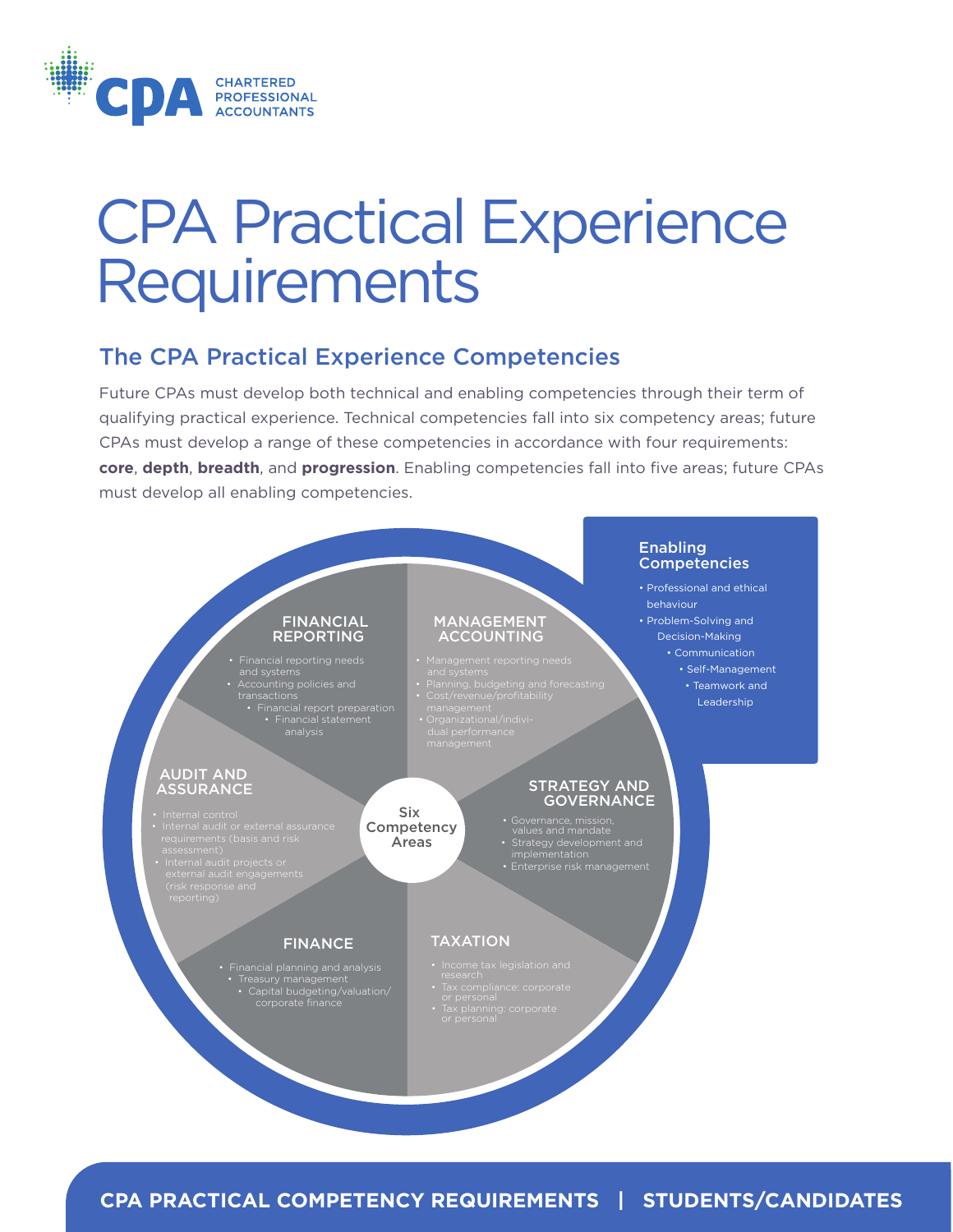

# CPA Practical Experience **Requirements**

## The CPA Practical Experience Competencies

Future CPAs must develop both technical and enabling competencies through their term of qualifying practical experience. Technical competencies fall into six competency areas; future CPAs must develop a range of these competencies in accordance with four requirements: **core**, **depth**, **breadth**, and **progression**. Enabling competencies fall into five areas; future CPAs must develop all enabling competencies.



**CPA PRACTICAL COMPETENCY REQUIREMENTS | STUDENTS/CANDIDATES**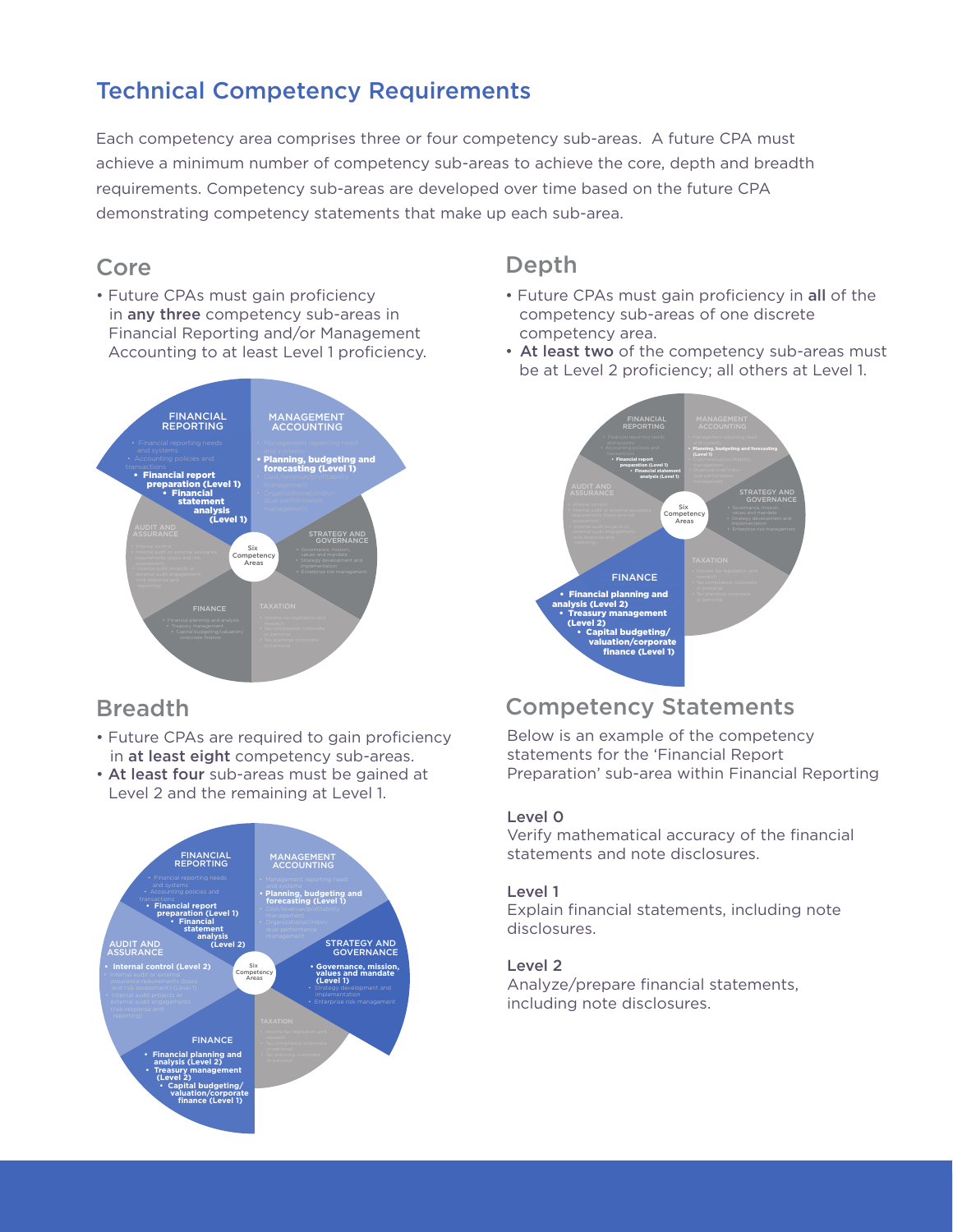# Technical Competency Requirements

Each competency area comprises three or four competency sub-areas. A future CPA must achieve a minimum number of competency sub-areas to achieve the core, depth and breadth requirements. Competency sub-areas are developed over time based on the future CPA demonstrating competency statements that make up each sub-area.

### Core

• Future CPAs must gain proficiency in any three competency sub-areas in Financial Reporting and/or Management Accounting to at least Level 1 proficiency.



### Breadth

- Future CPAs are required to gain proficiency in at least eight competency sub-areas.
- At least four sub-areas must be gained at Level 2 and the remaining at Level 1.



# **Depth**

- Future CPAs must gain proficiency in all of the competency sub-areas of one discrete competency area.
- At least two of the competency sub-areas must be at Level 2 proficiency; all others at Level 1.



# Competency Statements

Below is an example of the competency statements for the 'Financial Report Preparation' sub-area within Financial Reporting

#### Level 0

Verify mathematical accuracy of the financial statements and note disclosures.

#### Level 1

Explain financial statements, including note disclosures.

#### Level 2

Analyze/prepare financial statements, including note disclosures.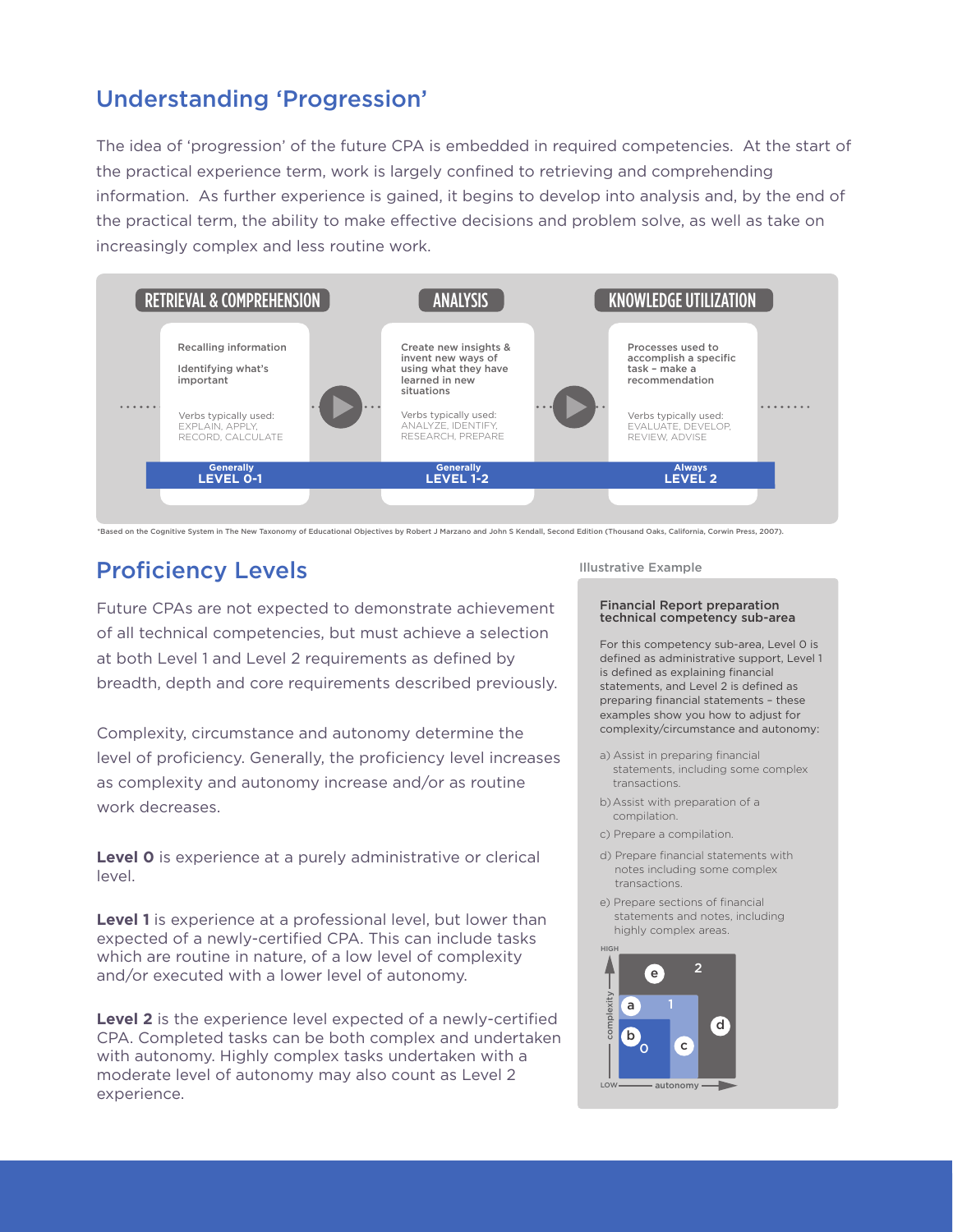# Understanding 'Progression'

The idea of 'progression' of the future CPA is embedded in required competencies. At the start of the practical experience term, work is largely confined to retrieving and comprehending information. As further experience is gained, it begins to develop into analysis and, by the end of the practical term, the ability to make effective decisions and problem solve, as well as take on increasingly complex and less routine work.



\*Based on the Cognitive System in The New Taxonomy of Educational Objectives by Robert J Marzano and John S Kendall, Second Edition (Thousand Oaks, California, Corwin Press, 2007).

# Proficiency Levels

Future CPAs are not expected to demonstrate achievement of all technical competencies, but must achieve a selection at both Level 1 and Level 2 requirements as defined by breadth, depth and core requirements described previously.

Complexity, circumstance and autonomy determine the level of proficiency. Generally, the proficiency level increases as complexity and autonomy increase and/or as routine work decreases.

**Level 0** is experience at a purely administrative or clerical level.

**Level 1** is experience at a professional level, but lower than expected of a newly-certified CPA. This can include tasks which are routine in nature, of a low level of complexity and/or executed with a lower level of autonomy.

**Level 2** is the experience level expected of a newly-certified CPA. Completed tasks can be both complex and undertaken with autonomy. Highly complex tasks undertaken with a moderate level of autonomy may also count as Level 2 experience.

#### Illustrative Example

#### Financial Report preparation technical competency sub-area

For this competency sub-area, Level 0 is defined as administrative support, Level 1 is defined as explaining financial statements, and Level 2 is defined as preparing financial statements – these examples show you how to adjust for complexity/circumstance and autonomy:

- a) Assist in preparing financial statements, including some complex transactions.
- b)Assist with preparation of a compilation.
- c) Prepare a compilation.
- d) Prepare financial statements with notes including some complex transactions.
- e) Prepare sections of financial statements and notes, including highly complex areas.